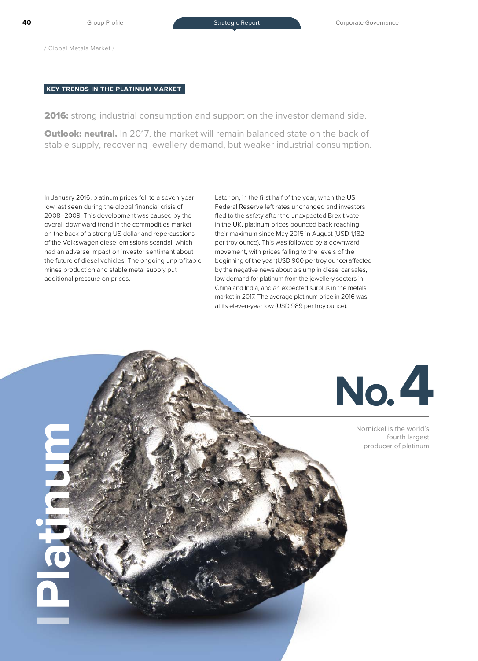/ Global Metals Market /

**Platinum**

# **KEY TRENDS IN THE PLATINUM MARKET**

2016: strong industrial consumption and support on the investor demand side.

**Outlook: neutral.** In 2017, the market will remain balanced state on the back of stable supply, recovering jewellery demand, but weaker industrial consumption.

In January 2016, platinum prices fell to a seven-year low last seen during the global financial crisis of 2008–2009. This development was caused by the overall downward trend in the commodities market on the back of a strong US dollar and repercussions of the Volkswagen diesel emissions scandal, which had an adverse impact on investor sentiment about the future of diesel vehicles. The ongoing unprofitable mines production and stable metal supply put additional pressure on prices.

Later on, in the first half of the year, when the US Federal Reserve left rates unchanged and investors fled to the safety after the unexpected Brexit vote in the UK, platinum prices bounced back reaching their maximum since May 2015 in August (USD 1,182 per troy ounce). This was followed by a downward movement, with prices falling to the levels of the beginning of the year (USD 900 per troy ounce) affected by the negative news about a slump in diesel car sales, low demand for platinum from the jewellery sectors in China and India, and an expected surplus in the metals market in 2017. The average platinum price in 2016 was at its eleven-year low (USD 989 per troy ounce).



Nornickel is the world's fourth largest producer of platinum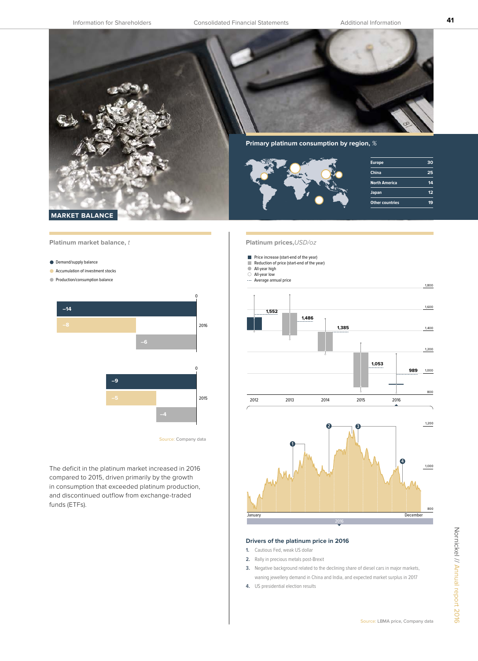**41**

**Other countries 19**



**MARKET BALANCE** 

**Platinum market balance,** t

**O** Demand/supply balance

- Accumulation of investment stocks
- **Production/consumption balance**



The deficit in the platinum market increased in 2016 compared to 2015, driven primarily by the growth in consumption that exceeded platinum production, and discontinued outflow from exchange-traded funds (ETFs).

## **Platinum prices,**USD/oz

- **Price increase (start-end of the year)**
- Reduction of price (start-end of the year)
- All-year high
- All-year low Average annual price





## **Drivers of the platinum price in 2016**

- **1.** Cautious Fed, weak US dollar
- **2.** Rally in precious metals post-Brexit
- **3.** Negative background related to the declining share of diesel cars in major markets, waning jewellery demand in China and India, and expected market surplus in 2017
- **4.** US presidential election results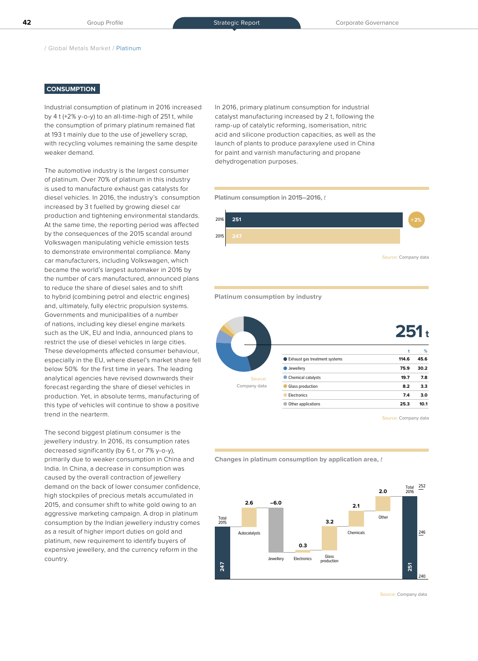/ Global Metals Market / Platinum

## **CONSUMPTION**

Industrial consumption of platinum in 2016 increased by 4 t (+2% y-o-y) to an all-time-high of 251 t, while the consumption of primary platinum remained flat at 193 t mainly due to the use of jewellery scrap, with recycling volumes remaining the same despite weaker demand.

The automotive industry is the largest consumer of platinum. Over 70% of platinum in this industry is used to manufacture exhaust gas catalysts for diesel vehicles. In 2016, the industry's consumption increased by 3 t fuelled by growing diesel car production and tightening environmental standards. At the same time, the reporting period was affected by the consequences of the 2015 scandal around Volkswagen manipulating vehicle emission tests to demonstrate environmental compliance. Many car manufacturers, including Volkswagen, which became the world's largest automaker in 2016 by the number of cars manufactured, announced plans to reduce the share of diesel sales and to shift to hybrid (combining petrol and electric engines) and, ultimately, fully electric propulsion systems. Governments and municipalities of a number of nations, including key diesel engine markets such as the UK, EU and India, announced plans to restrict the use of diesel vehicles in large cities. These developments affected consumer behaviour, especially in the EU, where diesel's market share fell below 50% for the first time in years. The leading analytical agencies have revised downwards their forecast regarding the share of diesel vehicles in production. Yet, in absolute terms, manufacturing of this type of vehicles will continue to show a positive trend in the nearterm.

The second biggest platinum consumer is the jewellery industry. In 2016, its consumption rates decreased significantly (by 6 t, or 7% y-o-y), primarily due to weaker consumption in China and India. In China, a decrease in consumption was caused by the overall contraction of jewellery demand on the back of lower consumer confidence, high stockpiles of precious metals accumulated in 2015, and consumer shift to white gold owing to an aggressive marketing campaign. A drop in platinum consumption by the Indian jewellery industry comes as a result of higher import duties on gold and platinum, new requirement to identify buyers of expensive jewellery, and the currency reform in the country.

In 2016, primary platinum consumption for industrial catalyst manufacturing increased by 2 t, following the ramp-up of catalytic reforming, isomerisation, nitric acid and silicone production capacities, as well as the launch of plants to produce paraxylene used in China for paint and varnish manufacturing and propane dehydrogenation purposes.

#### **Platinum consumption in 2015–2016,** t



### **Platinum consumption by industry**

|              |                               | $251_t$ |      |
|--------------|-------------------------------|---------|------|
|              |                               | t       | %    |
|              | Exhaust gas treatment systems | 114.6   | 45.6 |
|              | Jewellery                     | 75.9    | 30.2 |
| Source:      | Chemical catalysts            | 19.7    | 7.8  |
| Company data | Glass production              | 8.2     | 3.3  |
|              | Electronics                   | 7.4     | 3.0  |
|              | Other applications            | 25.3    | 10.1 |
|              |                               |         |      |

Source: Company data





Source: Company data